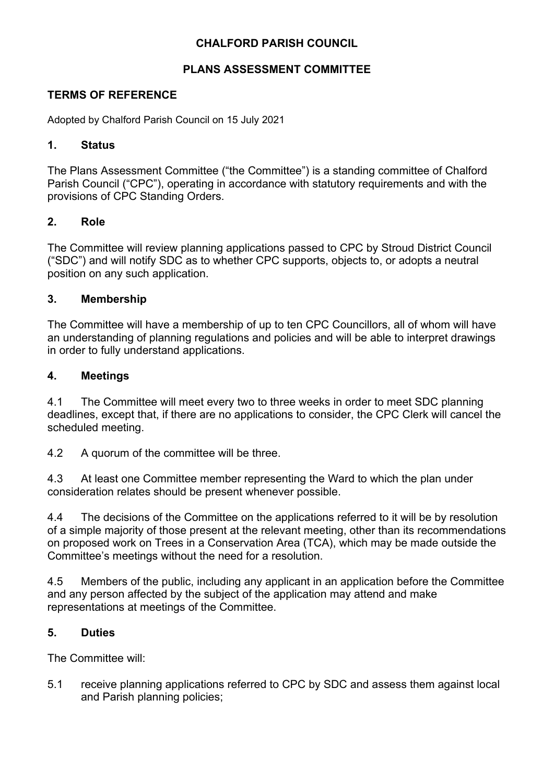# **CHALFORD PARISH COUNCIL**

## **PLANS ASSESSMENT COMMITTEE**

### **TERMS OF REFERENCE**

Adopted by Chalford Parish Council on 15 July 2021

#### **1. Status**

The Plans Assessment Committee ("the Committee") is a standing committee of Chalford Parish Council ("CPC"), operating in accordance with statutory requirements and with the provisions of CPC Standing Orders.

#### **2. Role**

The Committee will review planning applications passed to CPC by Stroud District Council ("SDC") and will notify SDC as to whether CPC supports, objects to, or adopts a neutral position on any such application.

#### **3. Membership**

The Committee will have a membership of up to ten CPC Councillors, all of whom will have an understanding of planning regulations and policies and will be able to interpret drawings in order to fully understand applications.

#### **4. Meetings**

4.1 The Committee will meet every two to three weeks in order to meet SDC planning deadlines, except that, if there are no applications to consider, the CPC Clerk will cancel the scheduled meeting.

4.2 A quorum of the committee will be three.

4.3 At least one Committee member representing the Ward to which the plan under consideration relates should be present whenever possible.

4.4 The decisions of the Committee on the applications referred to it will be by resolution of a simple majority of those present at the relevant meeting, other than its recommendations on proposed work on Trees in a Conservation Area (TCA), which may be made outside the Committee's meetings without the need for a resolution.

4.5 Members of the public, including any applicant in an application before the Committee and any person affected by the subject of the application may attend and make representations at meetings of the Committee.

#### **5. Duties**

The Committee will:

5.1 receive planning applications referred to CPC by SDC and assess them against local and Parish planning policies;